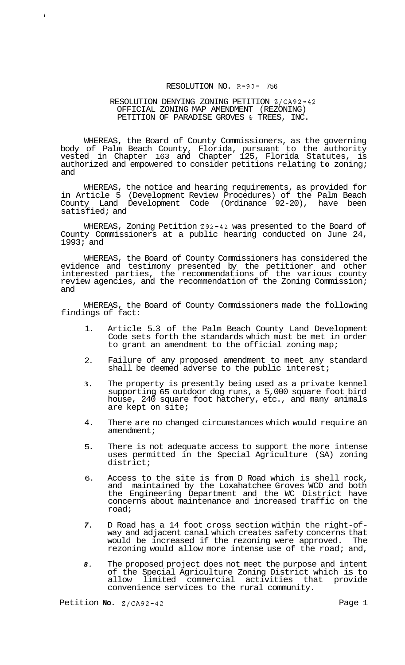## RESOLUTION NO. R-93- 756

## RESOLUTION DENYING ZONING PETITION Z/CA92-42 OFFICIAL ZONING MAP AMENDMENT (REZONING) PETITION OF PARADISE GROVES & TREES, INC.

WHEREAS, the Board of County Commissioners, as the governing body of Palm Beach County, Florida, pursuant to the authority vested in Chapter 163 and Chapter 125, Florida Statutes, is authorized and empowered to consider petitions relating **to** zoning; and

WHEREAS, the notice and hearing requirements, as provided for in Article 5 (Development Review Procedures) of the Palm Beach County Land Development Code (Ordinance 92-20), have been satisfied; and

WHEREAS, Zoning Petition 292-42 was presented to the Board of County Commissioners at a public hearing conducted on June 24, 1993; and

WHEREAS, the Board of County Commissioners has considered the evidence and testimony presented by the petitioner and other interested parties, the recommendations of the various county review agencies, and the recommendation of the Zoning Commission; and

WHEREAS, the Board of County Commissioners made the following findings of fact:

- 1. Article 5.3 of the Palm Beach County Land Development Code sets forth the standards which must be met in order to grant an amendment to the official zoning map;
- 2. Failure of any proposed amendment to meet any standard shall be deemed adverse to the public interest;
- **3.**  The property is presently being used as a private kennel supporting 65 outdoor dog runs, a 5,000 square foot bird house, 240 square foot hatchery, etc., and many animals are kept on site;
- 4. There are no changed circumstances which would require an amendment;
- 5. There is not adequate access to support the more intense uses permitted in the Special Agriculture (SA) zoning district;
- 6. Access to the site is from D Road which is shell rock, and maintained by the Loxahatchee Groves WCD and both the Engineering Department and the WC District have concerns about maintenance and increased traffic on the road;
- *7.*  D Road has a 14 foot cross section within the right-of- way and adjacent canal which creates safety concerns that would be increased if the rezoning were approved. The rezoning would allow more intense use of the road; and,
- *8.*  The proposed project does not meet the purpose and intent of the Special Agriculture Zoning District which is to allow limited commercial activities that provide convenience services to the rural community.

Petition **No.**  $\frac{2}{C}$ A92-42 Page 1

*t*